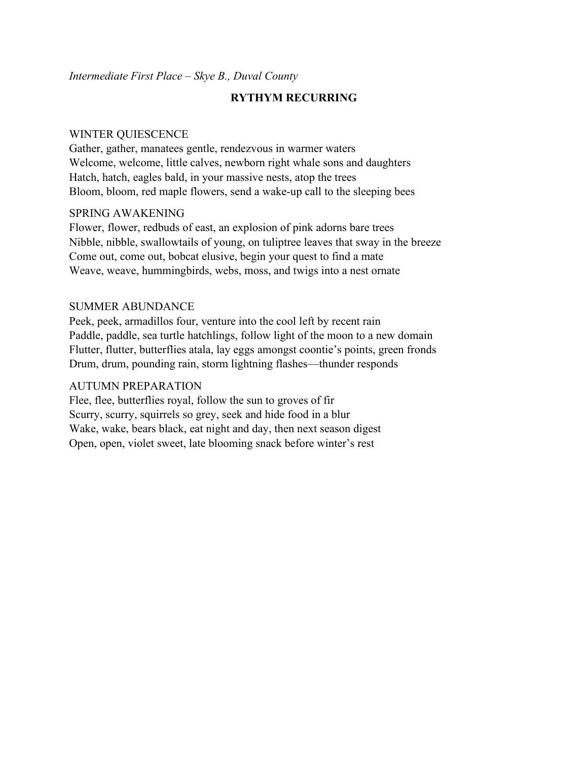## *Intermediate First Place – Skye B., Duval County*

# **RYTHYM RECURRING**

#### WINTER QUIESCENCE

Gather, gather, manatees gentle, rendezvous in warmer waters Welcome, welcome, little calves, newborn right whale sons and daughters Hatch, hatch, eagles bald, in your massive nests, atop the trees Bloom, bloom, red maple flowers, send a wake-up call to the sleeping bees

## SPRING AWAKENING

Flower, flower, redbuds of east, an explosion of pink adorns bare trees Nibble, nibble, swallowtails of young, on tuliptree leaves that sway in the breeze Come out, come out, bobcat elusive, begin your quest to find a mate Weave, weave, hummingbirds, webs, moss, and twigs into a nest ornate

### SUMMER ABUNDANCE

Peek, peek, armadillos four, venture into the cool left by recent rain Paddle, paddle, sea turtle hatchlings, follow light of the moon to a new domain Flutter, flutter, butterflies atala, lay eggs amongst coontie's points, green fronds Drum, drum, pounding rain, storm lightning flashes—thunder responds

### AUTUMN PREPARATION

Flee, flee, butterflies royal, follow the sun to groves of fir Scurry, scurry, squirrels so grey, seek and hide food in a blur Wake, wake, bears black, eat night and day, then next season digest Open, open, violet sweet, late blooming snack before winter's rest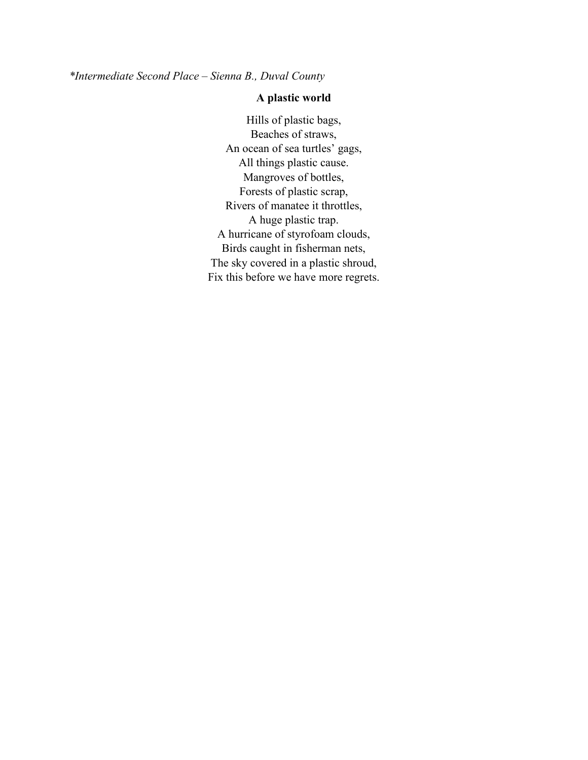*\*Intermediate Second Place – Sienna B., Duval County*

# **A plastic world**

Hills of plastic bags, Beaches of straws, An ocean of sea turtles' gags, All things plastic cause. Mangroves of bottles, Forests of plastic scrap, Rivers of manatee it throttles, A huge plastic trap. A hurricane of styrofoam clouds, Birds caught in fisherman nets, The sky covered in a plastic shroud, Fix this before we have more regrets.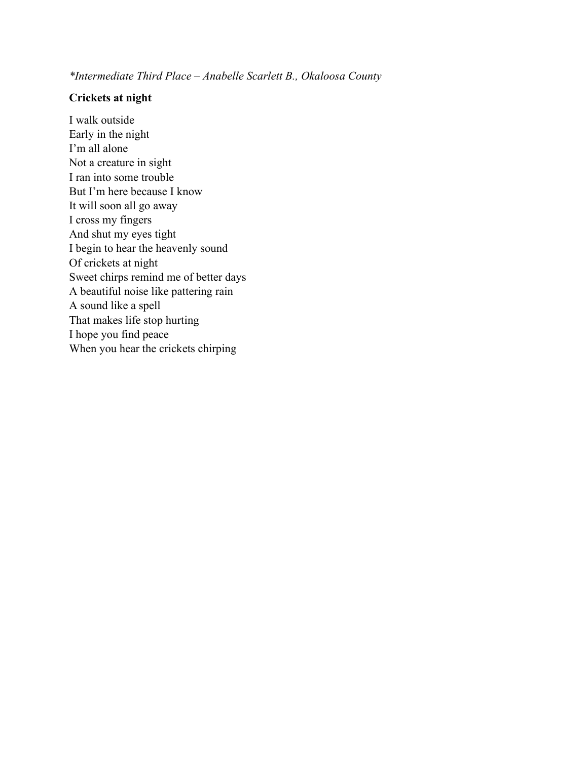*\*Intermediate Third Place – Anabelle Scarlett B., Okaloosa County*

### **Crickets at night**

I walk outside Early in the night I'm all alone Not a creature in sight I ran into some trouble But I'm here because I know It will soon all go away I cross my fingers And shut my eyes tight I begin to hear the heavenly sound Of crickets at night Sweet chirps remind me of better days A beautiful noise like pattering rain A sound like a spell That makes life stop hurting I hope you find peace When you hear the crickets chirping